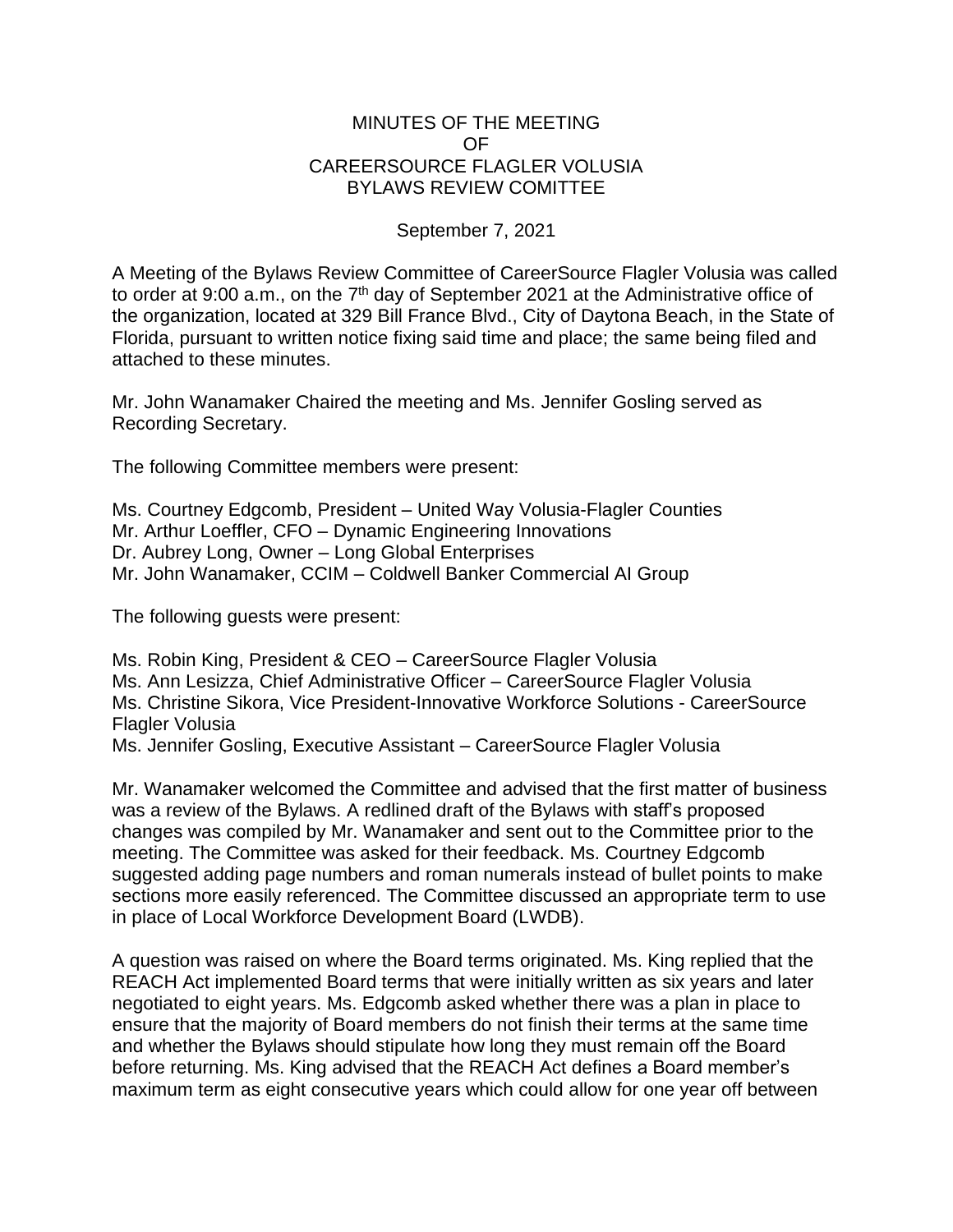## MINUTES OF THE MEETING OF CAREERSOURCE FLAGLER VOLUSIA BYLAWS REVIEW COMITTEE

## September 7, 2021

A Meeting of the Bylaws Review Committee of CareerSource Flagler Volusia was called to order at 9:00 a.m., on the  $7<sup>th</sup>$  day of September 2021 at the Administrative office of the organization, located at 329 Bill France Blvd., City of Daytona Beach, in the State of Florida, pursuant to written notice fixing said time and place; the same being filed and attached to these minutes.

Mr. John Wanamaker Chaired the meeting and Ms. Jennifer Gosling served as Recording Secretary.

The following Committee members were present:

Ms. Courtney Edgcomb, President – United Way Volusia-Flagler Counties Mr. Arthur Loeffler, CFO – Dynamic Engineering Innovations Dr. Aubrey Long, Owner – Long Global Enterprises Mr. John Wanamaker, CCIM – Coldwell Banker Commercial AI Group

The following guests were present:

Ms. Robin King, President & CEO – CareerSource Flagler Volusia Ms. Ann Lesizza, Chief Administrative Officer – CareerSource Flagler Volusia Ms. Christine Sikora, Vice President-Innovative Workforce Solutions - CareerSource Flagler Volusia

Ms. Jennifer Gosling, Executive Assistant – CareerSource Flagler Volusia

Mr. Wanamaker welcomed the Committee and advised that the first matter of business was a review of the Bylaws. A redlined draft of the Bylaws with staff's proposed changes was compiled by Mr. Wanamaker and sent out to the Committee prior to the meeting. The Committee was asked for their feedback. Ms. Courtney Edgcomb suggested adding page numbers and roman numerals instead of bullet points to make sections more easily referenced. The Committee discussed an appropriate term to use in place of Local Workforce Development Board (LWDB).

A question was raised on where the Board terms originated. Ms. King replied that the REACH Act implemented Board terms that were initially written as six years and later negotiated to eight years. Ms. Edgcomb asked whether there was a plan in place to ensure that the majority of Board members do not finish their terms at the same time and whether the Bylaws should stipulate how long they must remain off the Board before returning. Ms. King advised that the REACH Act defines a Board member's maximum term as eight consecutive years which could allow for one year off between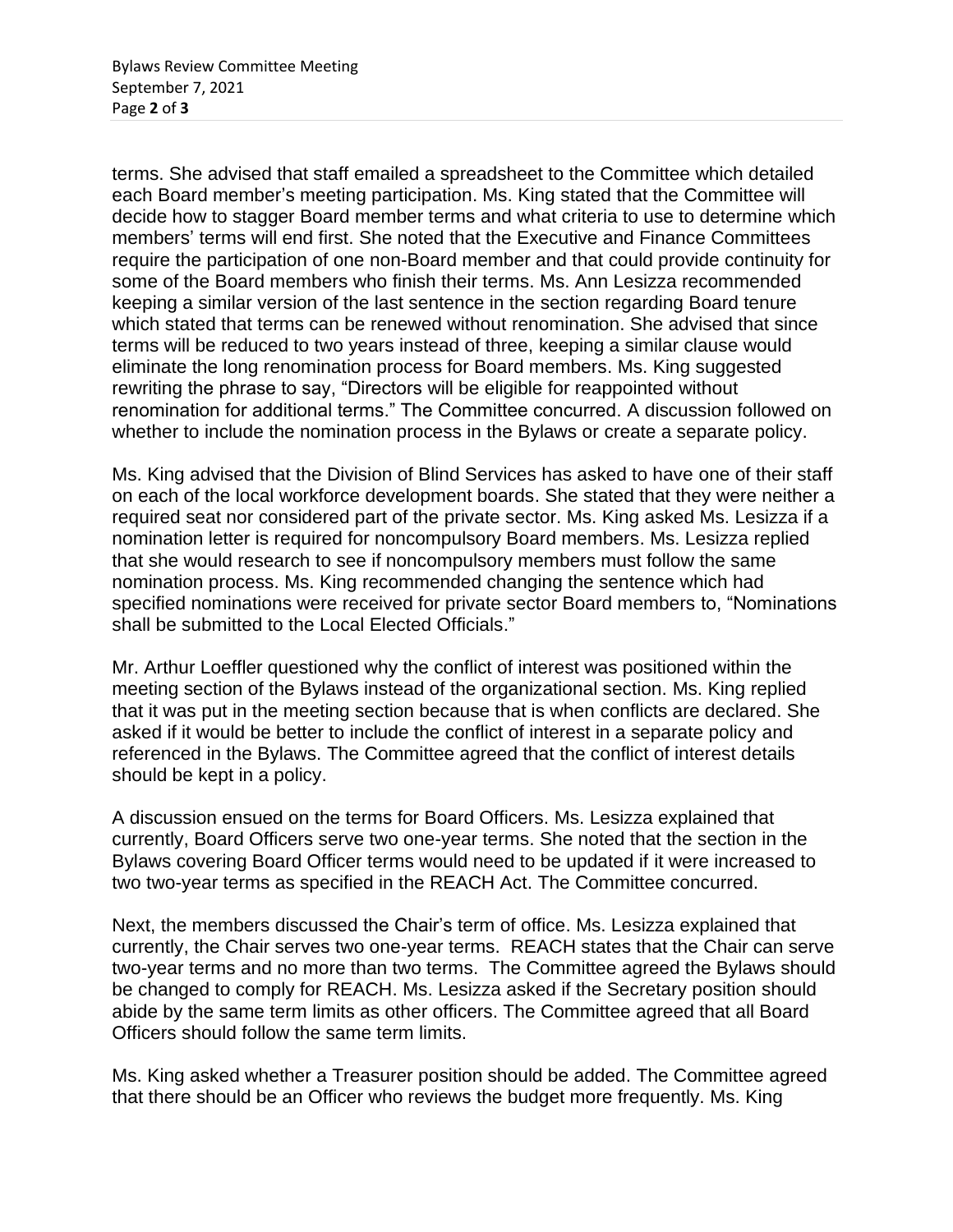terms. She advised that staff emailed a spreadsheet to the Committee which detailed each Board member's meeting participation. Ms. King stated that the Committee will decide how to stagger Board member terms and what criteria to use to determine which members' terms will end first. She noted that the Executive and Finance Committees require the participation of one non-Board member and that could provide continuity for some of the Board members who finish their terms. Ms. Ann Lesizza recommended keeping a similar version of the last sentence in the section regarding Board tenure which stated that terms can be renewed without renomination. She advised that since terms will be reduced to two years instead of three, keeping a similar clause would eliminate the long renomination process for Board members. Ms. King suggested rewriting the phrase to say, "Directors will be eligible for reappointed without renomination for additional terms." The Committee concurred. A discussion followed on whether to include the nomination process in the Bylaws or create a separate policy.

Ms. King advised that the Division of Blind Services has asked to have one of their staff on each of the local workforce development boards. She stated that they were neither a required seat nor considered part of the private sector. Ms. King asked Ms. Lesizza if a nomination letter is required for noncompulsory Board members. Ms. Lesizza replied that she would research to see if noncompulsory members must follow the same nomination process. Ms. King recommended changing the sentence which had specified nominations were received for private sector Board members to, "Nominations shall be submitted to the Local Elected Officials."

Mr. Arthur Loeffler questioned why the conflict of interest was positioned within the meeting section of the Bylaws instead of the organizational section. Ms. King replied that it was put in the meeting section because that is when conflicts are declared. She asked if it would be better to include the conflict of interest in a separate policy and referenced in the Bylaws. The Committee agreed that the conflict of interest details should be kept in a policy.

A discussion ensued on the terms for Board Officers. Ms. Lesizza explained that currently, Board Officers serve two one-year terms. She noted that the section in the Bylaws covering Board Officer terms would need to be updated if it were increased to two two-year terms as specified in the REACH Act. The Committee concurred.

Next, the members discussed the Chair's term of office. Ms. Lesizza explained that currently, the Chair serves two one-year terms. REACH states that the Chair can serve two-year terms and no more than two terms. The Committee agreed the Bylaws should be changed to comply for REACH. Ms. Lesizza asked if the Secretary position should abide by the same term limits as other officers. The Committee agreed that all Board Officers should follow the same term limits.

Ms. King asked whether a Treasurer position should be added. The Committee agreed that there should be an Officer who reviews the budget more frequently. Ms. King